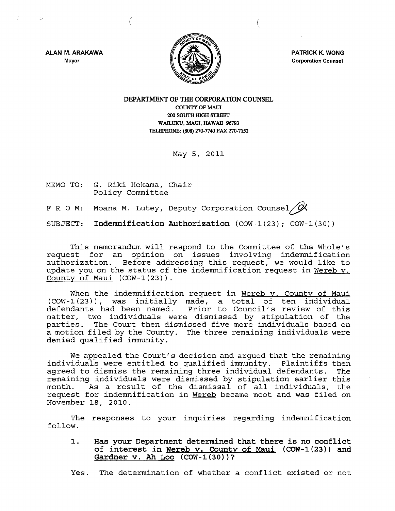

PATRICK K. WONG Corporation Counsel

ALAN M. ARAKAWA Mayor

 $\sim$ 

# DEPARTMENT OF THE CORPORATION COUNSEL COUNTY OF MAUl 200 SOUTH mGH STREET WAILUKU, MAUI, HAWAII 96793 TELEPHONE: (808) 270-7740 FAX 270-7152

May 5, 2011

MEMO TO: G. Riki Hokama, Chair Policy Committee

(

F R O M: Moana M. Lutey, Deputy Corporation Counsel  $\cancel{\alpha}$ 

SUBJECT: Indemnification Authorization (COW-1(23) *i* COW-1(30))

This memorandum will respond to the Committee of the Whole's request for an opinion on issues involving indemnification authorization. Before addressing this request, we would like to update you on the status of the indemnification request in Wereb v. County of Maui  $(COW-1(23))$ .

When the indemnification request in Wereb v. County of Maui  $(COW-1(23))$ , was initially made, a total of ten individual defendants had been named. Prior to Council's review of this mat ter, two individuals were dismissed by stipulation of the parties. The Court then dismissed five more individuals based on a motion filed by the County. The three remaining individuals were denied qualified immunity.

We appealed the Court's decision and argued that the remaining individuals were entitled to qualified immunity. Plaintiffs then agreed to dismiss the remaining three individual defendants. remaining individuals were dismissed by stipulation earlier this<br>month. As a result of the dismissal of all individuals, the As a result of the dismissal of all individuals, the request for indemnification in Wereb became moot and was filed on November 18, 2010.

The responses to your inquiries regarding indemnification follow.

1. Has your Department determined that there is no conflict of interest in Wereb v. County of Maui (COW-1(23)) and Gardner v. Ah Loo  $(COW-1(30))^2$ 

Yes. The determination of whether a conflict existed or not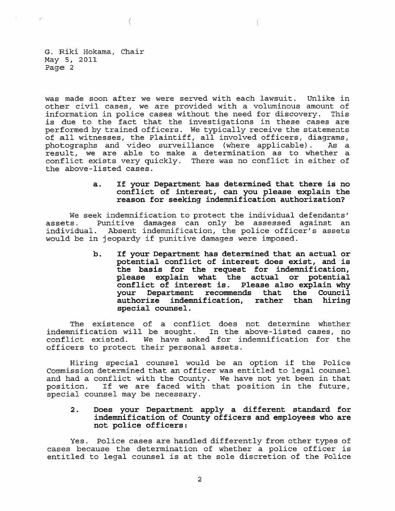G. Riki Hokama, Chair May 5, 2011 Page 2

€

was made soon after we were served with each lawsuit. Unlike in other civil cases, we are provided with a voluminous amount of information in police cases without the need for discovery. This information in portee cases without the heed for discovery. This<br>is due to the fact that the investigations in these cases are performed by trained officers. We typically receive the statements of all witnesses, the Plaintiff, all involved officers, diagrams,<br>photographs and video surveillance (where applicable). As a photographs and video surveillance (where applicable). result, we are able to make a determination as to whether a conflict exists very quickly. There was no conflict in either of the above-listed cases.

# **a. If your Department has determined that there is no conflict of interest, can you please explain the reason for seeking indemnification authorization?**

We seek indemnification to protect the individual defendants' assets. Punitive damages can only be assessed against an<br>individual. Absent indemnification, the police officer's assets Absent indemnification, the police officer's assets would be in jeopardy if punitive damages were imposed.

> **b. If your Department has determined that an actual or potential conflict of interest does exist, and is the basis for the request for indemnification, please explain what the actual or potential conflict of interest is. Please also explain why your Department recommends that the Council authorize indemnification, rather than hiring special counsel.**

The existence of a conflict does not determine whether indemnification will be sought. In the above-listed cases, no We have asked for indemnification for the officers to protect their personal assets.

Hiring special counsel would be an option if the Police Commission determined that an officer was entitled to legal counsel and had a conflict with the County. We have not yet been in that position. If we are faced with that position in the future, If we are faced with that position in the future, special counsel may be necessary.

# **2. Does your Department apply a different standard for indemnification of County officers and employees who are not police officers:**

Yes. Police cases are handled differently from other types of cases because the determination of whether a police officer is entitled to legal counsel is at the sole discretion of the Police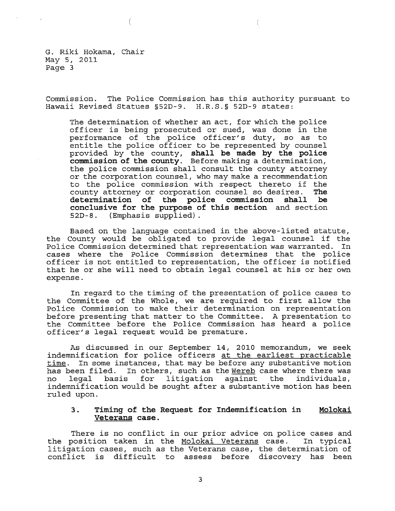G. Riki Hokama, Chair May 5, 2011 Page 3

Commission. The Police Commission has this authority pursuant to Hawaii Revised Statues §52D-9. H.R.S.§ 52D-9 states:

The determination of whether an act, for which the police officer is being prosecuted or sued, was done in the performance of the police officer's duty, so as to entitle the police officer to be represented by counsel provided by the county, **shall be made by the police commission of the county.** Before making a determination, the police commission shall consult the county attorney or the corporation counsel, who may make a recommendation to the police commission with respect thereto if the<br>county attorney or corporation counsel so desires. The county attorney or corporation counsel so desires. **The**  determination of the police commission shall **conclusive for the purpose of this section** and section 52D-S. (Emphasis supplied).

Based on the language contained in the above-listed statute, the County would be obligated to provide legal counsel if the<br>Police Commission determined that representation was warranted. In Police Commission determined that representation was warranted. cases where the Police Commission determines that the police officer is not entitled to representation, the officer is notified that he or she will need to obtain legal counsel at his or her own expense.

In regard to the timing of the presentation of police cases to the Committee of the Whole, we are required to first allow the Police Commission to make their determination on representation before presenting that matter to the Committee. A presentation to the Committee before the Police Commission has heard a police officer's legal request would be premature.

As discussed in our September 14, 2010 memorandum, we seek indemnification for police officers at the earliest practicable  $time$ . In some instances, that may be before any substantive motion has been filed. In others, such as the Wereb case where there was ed. In others, such as the <u>Wereb</u> case where there was<br>basis for litigation against the individuals, no legal basis for litigation indemnification would be sought after a substantive motion has been ruled upon.

#### 3. **Timing of the Request for Indemnification in Veterans case. Molokai**

There is no conflict in our prior advice on police cases and the position taken in the Molokai Veterans case. In typical litigation cases, such as the Veterans case, the determination of conflict is difficult to assess before discovery has been